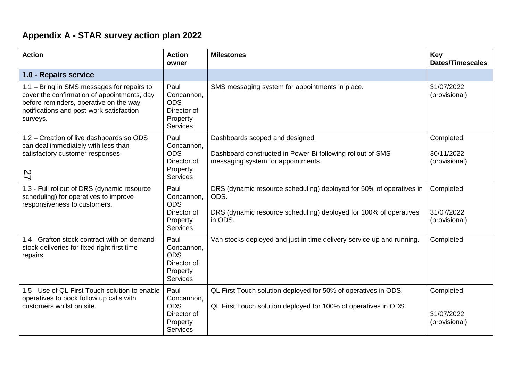## **Appendix A - STAR survey action plan 2022**

| <b>Action</b>                                                                                                                                                                               | <b>Action</b><br>owner                                                         | <b>Milestones</b>                                                                                                                                           | Key<br><b>Dates/Timescales</b>           |
|---------------------------------------------------------------------------------------------------------------------------------------------------------------------------------------------|--------------------------------------------------------------------------------|-------------------------------------------------------------------------------------------------------------------------------------------------------------|------------------------------------------|
| 1.0 - Repairs service                                                                                                                                                                       |                                                                                |                                                                                                                                                             |                                          |
| 1.1 - Bring in SMS messages for repairs to<br>cover the confirmation of appointments, day<br>before reminders, operative on the way<br>notifications and post-work satisfaction<br>surveys. | Paul<br>Concannon,<br><b>ODS</b><br>Director of<br>Property<br><b>Services</b> | SMS messaging system for appointments in place.                                                                                                             | 31/07/2022<br>(provisional)              |
| 1.2 – Creation of live dashboards so ODS<br>can deal immediately with less than<br>satisfactory customer responses.<br>27                                                                   | Paul<br>Concannon,<br><b>ODS</b><br>Director of<br>Property<br><b>Services</b> | Dashboards scoped and designed.<br>Dashboard constructed in Power Bi following rollout of SMS<br>messaging system for appointments.                         | Completed<br>30/11/2022<br>(provisional) |
| 1.3 - Full rollout of DRS (dynamic resource<br>scheduling) for operatives to improve<br>responsiveness to customers.                                                                        | Paul<br>Concannon,<br><b>ODS</b><br>Director of<br>Property<br><b>Services</b> | DRS (dynamic resource scheduling) deployed for 50% of operatives in<br>ODS.<br>DRS (dynamic resource scheduling) deployed for 100% of operatives<br>in ODS. | Completed<br>31/07/2022<br>(provisional) |
| 1.4 - Grafton stock contract with on demand<br>stock deliveries for fixed right first time<br>repairs.                                                                                      | Paul<br>Concannon,<br><b>ODS</b><br>Director of<br>Property<br><b>Services</b> | Van stocks deployed and just in time delivery service up and running.                                                                                       | Completed                                |
| 1.5 - Use of QL First Touch solution to enable<br>operatives to book follow up calls with<br>customers whilst on site.                                                                      | Paul<br>Concannon,<br><b>ODS</b><br>Director of<br>Property<br>Services        | QL First Touch solution deployed for 50% of operatives in ODS.<br>QL First Touch solution deployed for 100% of operatives in ODS.                           | Completed<br>31/07/2022<br>(provisional) |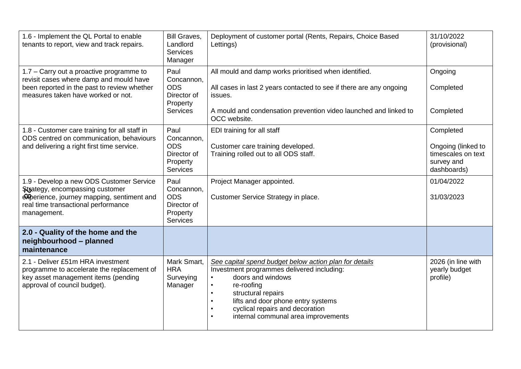| 1.6 - Implement the QL Portal to enable<br>tenants to report, view and track repairs.                                                                                           | <b>Bill Graves,</b><br>Landlord<br><b>Services</b><br>Manager                  | Deployment of customer portal (Rents, Repairs, Choice Based<br>Lettings)                                                                                                                                                                                                                                                                                    | 31/10/2022<br>(provisional)                                                        |
|---------------------------------------------------------------------------------------------------------------------------------------------------------------------------------|--------------------------------------------------------------------------------|-------------------------------------------------------------------------------------------------------------------------------------------------------------------------------------------------------------------------------------------------------------------------------------------------------------------------------------------------------------|------------------------------------------------------------------------------------|
| 1.7 – Carry out a proactive programme to<br>revisit cases where damp and mould have<br>been reported in the past to review whether<br>measures taken have worked or not.        | Paul<br>Concannon,<br><b>ODS</b><br>Director of<br>Property<br><b>Services</b> | All mould and damp works prioritised when identified.<br>All cases in last 2 years contacted to see if there are any ongoing<br>issues.<br>A mould and condensation prevention video launched and linked to<br>OCC website.                                                                                                                                 | Ongoing<br>Completed<br>Completed                                                  |
| 1.8 - Customer care training for all staff in<br>ODS centred on communication, behaviours<br>and delivering a right first time service.                                         | Paul<br>Concannon,<br><b>ODS</b><br>Director of<br>Property<br>Services        | EDI training for all staff<br>Customer care training developed.<br>Training rolled out to all ODS staff.                                                                                                                                                                                                                                                    | Completed<br>Ongoing (linked to<br>timescales on text<br>survey and<br>dashboards) |
| 1.9 - Develop a new ODS Customer Service<br>Strategy, encompassing customer<br>experience, journey mapping, sentiment and<br>real time transactional performance<br>management. | Paul<br>Concannon,<br><b>ODS</b><br>Director of<br>Property<br><b>Services</b> | Project Manager appointed.<br>Customer Service Strategy in place.                                                                                                                                                                                                                                                                                           | 01/04/2022<br>31/03/2023                                                           |
| 2.0 - Quality of the home and the<br>neighbourhood - planned<br>maintenance                                                                                                     |                                                                                |                                                                                                                                                                                                                                                                                                                                                             |                                                                                    |
| 2.1 - Deliver £51m HRA investment<br>programme to accelerate the replacement of<br>key asset management items (pending<br>approval of council budget).                          | Mark Smart,<br><b>HRA</b><br>Surveying<br>Manager                              | See capital spend budget below action plan for details<br>Investment programmes delivered including:<br>doors and windows<br>$\bullet$<br>re-roofing<br>$\bullet$<br>structural repairs<br>$\bullet$<br>lifts and door phone entry systems<br>$\bullet$<br>cyclical repairs and decoration<br>$\bullet$<br>internal communal area improvements<br>$\bullet$ | 2026 (in line with<br>yearly budget<br>profile)                                    |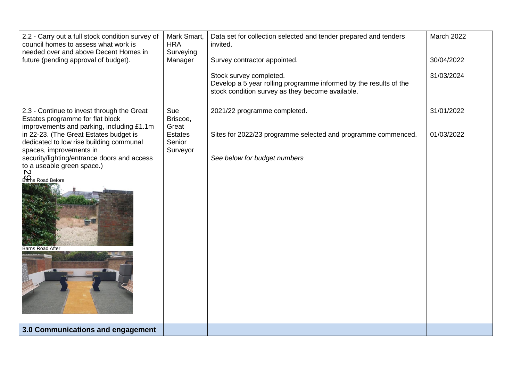| 2.2 - Carry out a full stock condition survey of<br>council homes to assess what work is<br>needed over and above Decent Homes in<br>future (pending approval of budget).                                                                                                                                                                                                        | Mark Smart,<br><b>HRA</b><br>Surveying<br>Manager                | Data set for collection selected and tender prepared and tenders<br>invited.<br>Survey contractor appointed.<br>Stock survey completed.<br>Develop a 5 year rolling programme informed by the results of the<br>stock condition survey as they become available. | March 2022<br>30/04/2022<br>31/03/2024 |
|----------------------------------------------------------------------------------------------------------------------------------------------------------------------------------------------------------------------------------------------------------------------------------------------------------------------------------------------------------------------------------|------------------------------------------------------------------|------------------------------------------------------------------------------------------------------------------------------------------------------------------------------------------------------------------------------------------------------------------|----------------------------------------|
| 2.3 - Continue to invest through the Great<br>Estates programme for flat block<br>improvements and parking, including £1.1m<br>in 22-23. (The Great Estates budget is<br>dedicated to low rise building communal<br>spaces, improvements in<br>security/lighting/entrance doors and access<br>to a useable green space.)<br>$\mathbf D$<br>Barns Road Before<br>Barns Road After | Sue<br>Briscoe,<br>Great<br><b>Estates</b><br>Senior<br>Surveyor | 2021/22 programme completed.<br>Sites for 2022/23 programme selected and programme commenced.<br>See below for budget numbers                                                                                                                                    | 31/01/2022<br>01/03/2022               |
| 3.0 Communications and engagement                                                                                                                                                                                                                                                                                                                                                |                                                                  |                                                                                                                                                                                                                                                                  |                                        |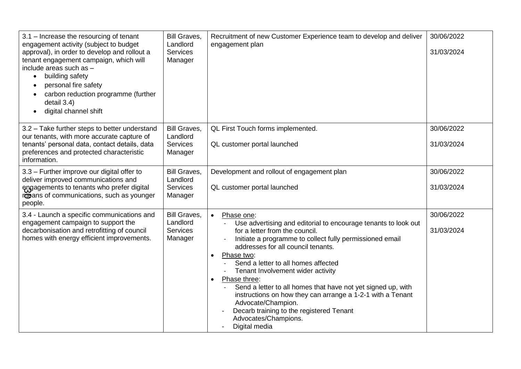| 3.1 – Increase the resourcing of tenant<br>engagement activity (subject to budget<br>approval), in order to develop and rollout a<br>tenant engagement campaign, which will<br>include areas such as -<br>building safety<br>$\bullet$<br>personal fire safety<br>$\bullet$<br>carbon reduction programme (further<br>detail 3.4)<br>digital channel shift<br>$\bullet$ | Bill Graves,<br>Landlord<br><b>Services</b><br>Manager        | Recruitment of new Customer Experience team to develop and deliver<br>engagement plan                                                                                                                                                                                                                                                                                                                                                                                                                                                                                                                      | 30/06/2022<br>31/03/2024 |
|-------------------------------------------------------------------------------------------------------------------------------------------------------------------------------------------------------------------------------------------------------------------------------------------------------------------------------------------------------------------------|---------------------------------------------------------------|------------------------------------------------------------------------------------------------------------------------------------------------------------------------------------------------------------------------------------------------------------------------------------------------------------------------------------------------------------------------------------------------------------------------------------------------------------------------------------------------------------------------------------------------------------------------------------------------------------|--------------------------|
| 3.2 - Take further steps to better understand<br>our tenants, with more accurate capture of<br>tenants' personal data, contact details, data<br>preferences and protected characteristic                                                                                                                                                                                | <b>Bill Graves,</b><br>Landlord<br><b>Services</b><br>Manager | QL First Touch forms implemented.<br>QL customer portal launched                                                                                                                                                                                                                                                                                                                                                                                                                                                                                                                                           | 30/06/2022<br>31/03/2024 |
| information.<br>3.3 - Further improve our digital offer to<br>deliver improved communications and<br>engagements to tenants who prefer digital<br>rosans of communications, such as younger<br>people.                                                                                                                                                                  | <b>Bill Graves,</b><br>Landlord<br><b>Services</b><br>Manager | Development and rollout of engagement plan<br>QL customer portal launched                                                                                                                                                                                                                                                                                                                                                                                                                                                                                                                                  | 30/06/2022<br>31/03/2024 |
| 3.4 - Launch a specific communications and<br>engagement campaign to support the<br>decarbonisation and retrofitting of council<br>homes with energy efficient improvements.                                                                                                                                                                                            | <b>Bill Graves,</b><br>Landlord<br><b>Services</b><br>Manager | Phase one:<br>$\bullet$<br>Use advertising and editorial to encourage tenants to look out<br>for a letter from the council.<br>Initiate a programme to collect fully permissioned email<br>addresses for all council tenants.<br>Phase two:<br>$\bullet$<br>Send a letter to all homes affected<br>Tenant Involvement wider activity<br>Phase three:<br>$\bullet$<br>Send a letter to all homes that have not yet signed up, with<br>instructions on how they can arrange a 1-2-1 with a Tenant<br>Advocate/Champion.<br>Decarb training to the registered Tenant<br>Advocates/Champions.<br>Digital media | 30/06/2022<br>31/03/2024 |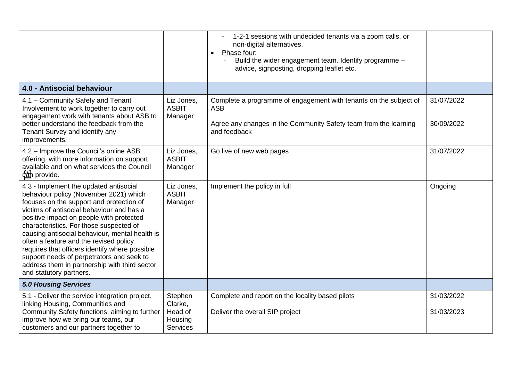|                                                                                                                                                                                                                                                                                                                                                                                                                                                                                                                                         |                                                             | 1-2-1 sessions with undecided tenants via a zoom calls, or<br>non-digital alternatives.<br>Phase four:<br>$\bullet$<br>Build the wider engagement team. Identify programme -<br>advice, signposting, dropping leaflet etc. |                          |
|-----------------------------------------------------------------------------------------------------------------------------------------------------------------------------------------------------------------------------------------------------------------------------------------------------------------------------------------------------------------------------------------------------------------------------------------------------------------------------------------------------------------------------------------|-------------------------------------------------------------|----------------------------------------------------------------------------------------------------------------------------------------------------------------------------------------------------------------------------|--------------------------|
| 4.0 - Antisocial behaviour                                                                                                                                                                                                                                                                                                                                                                                                                                                                                                              |                                                             |                                                                                                                                                                                                                            |                          |
| 4.1 - Community Safety and Tenant<br>Involvement to work together to carry out<br>engagement work with tenants about ASB to<br>better understand the feedback from the<br>Tenant Survey and identify any<br>improvements.                                                                                                                                                                                                                                                                                                               | Liz Jones,<br><b>ASBIT</b><br>Manager                       | Complete a programme of engagement with tenants on the subject of<br><b>ASB</b><br>Agree any changes in the Community Safety team from the learning<br>and feedback                                                        | 31/07/2022<br>30/09/2022 |
| 4.2 - Improve the Council's online ASB<br>offering, with more information on support<br>available and on what services the Council<br>can provide.                                                                                                                                                                                                                                                                                                                                                                                      | Liz Jones,<br><b>ASBIT</b><br>Manager                       | Go live of new web pages                                                                                                                                                                                                   | 31/07/2022               |
| 4.3 - Implement the updated antisocial<br>behaviour policy (November 2021) which<br>focuses on the support and protection of<br>victims of antisocial behaviour and has a<br>positive impact on people with protected<br>characteristics. For those suspected of<br>causing antisocial behaviour, mental health is<br>often a feature and the revised policy<br>requires that officers identify where possible<br>support needs of perpetrators and seek to<br>address them in partnership with third sector<br>and statutory partners. | Liz Jones,<br><b>ASBIT</b><br>Manager                       | Implement the policy in full                                                                                                                                                                                               | Ongoing                  |
| <b>5.0 Housing Services</b>                                                                                                                                                                                                                                                                                                                                                                                                                                                                                                             |                                                             |                                                                                                                                                                                                                            |                          |
| 5.1 - Deliver the service integration project,<br>linking Housing, Communities and<br>Community Safety functions, aiming to further<br>improve how we bring our teams, our<br>customers and our partners together to                                                                                                                                                                                                                                                                                                                    | Stephen<br>Clarke,<br>Head of<br>Housing<br><b>Services</b> | Complete and report on the locality based pilots<br>Deliver the overall SIP project                                                                                                                                        | 31/03/2022<br>31/03/2023 |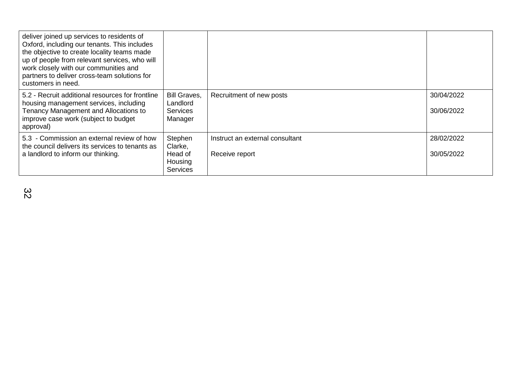| deliver joined up services to residents of<br>Oxford, including our tenants. This includes<br>the objective to create locality teams made<br>up of people from relevant services, who will<br>work closely with our communities and<br>partners to deliver cross-team solutions for<br>customers in need. |                                                               |                                                   |                          |
|-----------------------------------------------------------------------------------------------------------------------------------------------------------------------------------------------------------------------------------------------------------------------------------------------------------|---------------------------------------------------------------|---------------------------------------------------|--------------------------|
| 5.2 - Recruit additional resources for frontline<br>housing management services, including<br>Tenancy Management and Allocations to<br>improve case work (subject to budget<br>approval)                                                                                                                  | <b>Bill Graves,</b><br>Landlord<br><b>Services</b><br>Manager | Recruitment of new posts                          | 30/04/2022<br>30/06/2022 |
| 5.3 - Commission an external review of how<br>the council delivers its services to tenants as<br>a landlord to inform our thinking.                                                                                                                                                                       | Stephen<br>Clarke,<br>Head of<br>Housing<br><b>Services</b>   | Instruct an external consultant<br>Receive report | 28/02/2022<br>30/05/2022 |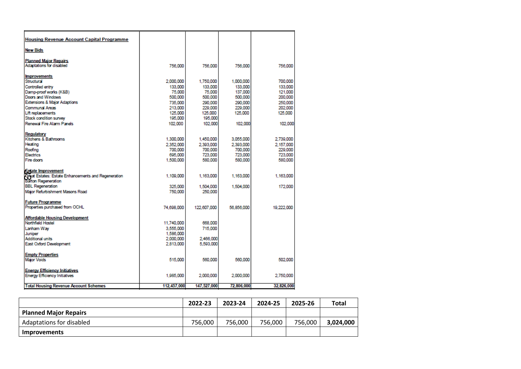| <b>Housing Revenue Account Capital Programme</b>    |             |                    |            |            |
|-----------------------------------------------------|-------------|--------------------|------------|------------|
| <b>New Bids</b>                                     |             |                    |            |            |
| <b>Planned Maior Repairs</b>                        |             |                    |            |            |
| Adaptations for disabled                            | 756,000     | 756,000            | 756,000    | 756,000    |
| <b>Improvements</b>                                 |             |                    |            |            |
| Structural                                          | 2.000.000   | 1.750.000          | 1.000.000  | 700,000    |
| Controlled entry                                    | 133,000     | 133,000            | 133,000    | 133,000    |
| Damp-proof works (K&B)                              | 75,000      | 75,000             | 137,000    | 121.000    |
| Doors and Windows                                   | 500,000     | 500,000            | 500,000    | 200,000    |
| Extensions & Major Adaptions                        | 735,000     | 290,000            | 290,000    | 250,000    |
| Communal Areas                                      | 213,000     | 229,000            | 229,000    | 202,000    |
| Lift replacements                                   | 125,000     | 125,000            | 125,000    | 125,000    |
| Stock condition survey<br>Renewal Fire Alarm Panels | 195,000     | 195,000<br>102.000 | 102,000    |            |
|                                                     | 102,000     |                    |            | 102,000    |
| Regulatory                                          |             |                    |            |            |
| Kitchens & Bathrooms                                | 1,300,000   | 1,450,000          | 3,055,000  | 2,739,000  |
| Heating                                             | 2.352.000   | 2.393.000          | 2.393.000  | 2.157.000  |
| Roofing                                             | 700,000     | 700,000            | 700,000    | 229,000    |
| <b>Electrics</b>                                    | 695,000     | 723,000            | 723,000    | 723,000    |
| Fire doors                                          | 1,500,000   | 580,000            | 580,000    | 580,000    |
| <b>Estate Improvement</b>                           |             |                    |            |            |
| Great Estates: Estate Enhancements and Regeneration | 1,109,000   | 1,163,000          | 1,163,000  | 1,163,000  |
| <b>Barton Regeneration</b>                          |             |                    |            |            |
| <b>BBL Regeneration</b>                             | 325,000     | 1,504,000          | 1,504,000  | 172,000    |
| Major Refurbishment Masons Road                     | 750,000     | 250.000            |            |            |
| <b>Future Programme</b>                             |             |                    |            |            |
| Properties purchased from OCHL                      | 74.698.000  | 122,607,000        | 56.856.000 | 19,222,000 |
| Affordable Housing Development                      |             |                    |            |            |
| Northfield Hostel                                   | 11,740,000  | 668,000            |            |            |
| Lanham Way                                          | 3.555,000   | 715,000            |            |            |
| Juniper                                             | 1,586,000   |                    |            |            |
| Additional units                                    | 2,000,000   | 2,466,000          |            |            |
| East Oxford Development                             | 2,813,000   | 5,593,000          |            |            |
| <b>Empty Properties</b>                             |             |                    |            |            |
| <b>Major Voids</b>                                  | 515,000     | 560,000            | 560,000    | 502,000    |
| <b>Energy Efficiency Initiatives</b>                |             |                    |            |            |
| <b>Energy Efficiency Initiatives</b>                | 1,985,000   | 2,000,000          | 2,000,000  | 2,750,000  |
| <b>Total Housing Revenue Account Schemes</b>        | 112.457.000 | 147,527,000        | 72.806,000 | 32,826,000 |
|                                                     |             |                    |            |            |

|                              | 2022-23 | 2023-24 | 2024-25 | 2025-26 | <b>Total</b> |
|------------------------------|---------|---------|---------|---------|--------------|
| <b>Planned Major Repairs</b> |         |         |         |         |              |
| Adaptations for disabled     | 756.000 | 756.000 | 756.000 | 756.000 | 3,024,000    |
| <b>Improvements</b>          |         |         |         |         |              |